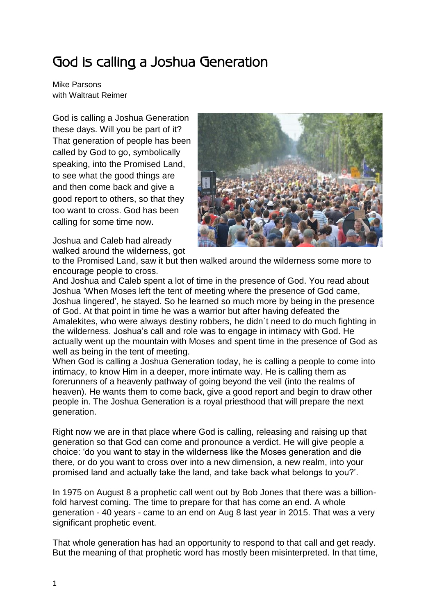## God is calling a Joshua Generation

Mike Parsons with Waltraut Reimer

God is calling a Joshua Generation these days. Will you be part of it? That generation of people has been called by God to go, symbolically speaking, into the Promised Land, to see what the good things are and then come back and give a good report to others, so that they too want to cross. God has been calling for some time now.

Joshua and Caleb had already walked around the wilderness, got



to the Promised Land, saw it but then walked around the wilderness some more to encourage people to cross.

And Joshua and Caleb spent a lot of time in the presence of God. You read about Joshua 'When Moses left the tent of meeting where the presence of God came, Joshua lingered', he stayed. So he learned so much more by being in the presence of God. At that point in time he was a warrior but after having defeated the Amalekites, who were always destiny robbers, he didn`t need to do much fighting in the wilderness. Joshua's call and role was to engage in intimacy with God. He actually went up the mountain with Moses and spent time in the presence of God as well as being in the tent of meeting.

When God is calling a Joshua Generation today, he is calling a people to come into intimacy, to know Him in a deeper, more intimate way. He is calling them as forerunners of a heavenly pathway of going beyond the veil (into the realms of heaven). He wants them to come back, give a good report and begin to draw other people in. The Joshua Generation is a royal priesthood that will prepare the next generation.

Right now we are in that place where God is calling, releasing and raising up that generation so that God can come and pronounce a verdict. He will give people a choice: 'do you want to stay in the wilderness like the Moses generation and die there, or do you want to cross over into a new dimension, a new realm, into your promised land and actually take the land, and take back what belongs to you?'.

In 1975 on August 8 a prophetic call went out by Bob Jones that there was a billionfold harvest coming. The time to prepare for that has come an end. A whole generation - 40 years - came to an end on Aug 8 last year in 2015. That was a very significant prophetic event.

That whole generation has had an opportunity to respond to that call and get ready. But the meaning of that prophetic word has mostly been misinterpreted. In that time,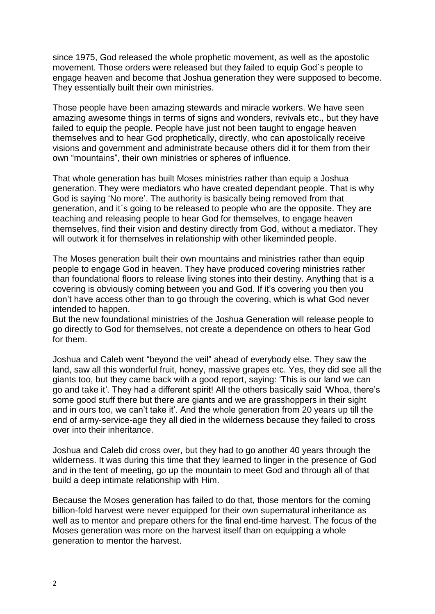since 1975, God released the whole prophetic movement, as well as the apostolic movement. Those orders were released but they failed to equip God`s people to engage heaven and become that Joshua generation they were supposed to become. They essentially built their own ministries.

Those people have been amazing stewards and miracle workers. We have seen amazing awesome things in terms of signs and wonders, revivals etc., but they have failed to equip the people. People have just not been taught to engage heaven themselves and to hear God prophetically, directly, who can apostolically receive visions and government and administrate because others did it for them from their own "mountains", their own ministries or spheres of influence.

That whole generation has built Moses ministries rather than equip a Joshua generation. They were mediators who have created dependant people. That is why God is saying 'No more'. The authority is basically being removed from that generation, and it`s going to be released to people who are the opposite. They are teaching and releasing people to hear God for themselves, to engage heaven themselves, find their vision and destiny directly from God, without a mediator. They will outwork it for themselves in relationship with other likeminded people.

The Moses generation built their own mountains and ministries rather than equip people to engage God in heaven. They have produced covering ministries rather than foundational floors to release living stones into their destiny. Anything that is a covering is obviously coming between you and God. If it's covering you then you don't have access other than to go through the covering, which is what God never intended to happen.

But the new foundational ministries of the Joshua Generation will release people to go directly to God for themselves, not create a dependence on others to hear God for them.

Joshua and Caleb went "beyond the veil" ahead of everybody else. They saw the land, saw all this wonderful fruit, honey, massive grapes etc. Yes, they did see all the giants too, but they came back with a good report, saying: 'This is our land we can go and take it'. They had a different spirit! All the others basically said 'Whoa, there's some good stuff there but there are giants and we are grasshoppers in their sight and in ours too, we can't take it'. And the whole generation from 20 years up till the end of army-service-age they all died in the wilderness because they failed to cross over into their inheritance.

Joshua and Caleb did cross over, but they had to go another 40 years through the wilderness. It was during this time that they learned to linger in the presence of God and in the tent of meeting, go up the mountain to meet God and through all of that build a deep intimate relationship with Him.

Because the Moses generation has failed to do that, those mentors for the coming billion-fold harvest were never equipped for their own supernatural inheritance as well as to mentor and prepare others for the final end-time harvest. The focus of the Moses generation was more on the harvest itself than on equipping a whole generation to mentor the harvest.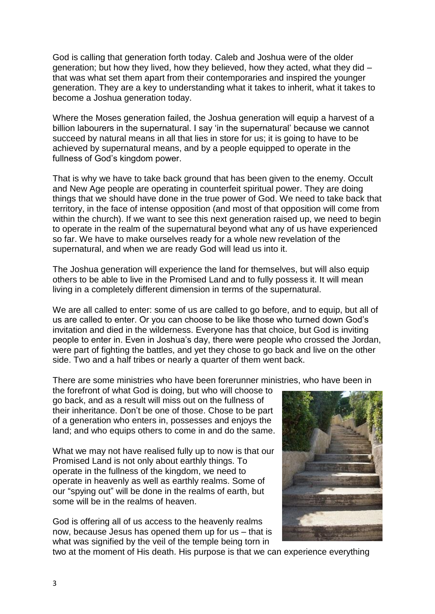God is calling that generation forth today. Caleb and Joshua were of the older generation; but how they lived, how they believed, how they acted, what they did – that was what set them apart from their contemporaries and inspired the younger generation. They are a key to understanding what it takes to inherit, what it takes to become a Joshua generation today.

Where the Moses generation failed, the Joshua generation will equip a harvest of a billion labourers in the supernatural. I say 'in the supernatural' because we cannot succeed by natural means in all that lies in store for us; it is going to have to be achieved by supernatural means, and by a people equipped to operate in the fullness of God's kingdom power.

That is why we have to take back ground that has been given to the enemy. Occult and New Age people are operating in counterfeit spiritual power. They are doing things that we should have done in the true power of God. We need to take back that territory, in the face of intense opposition (and most of that opposition will come from within the church). If we want to see this next generation raised up, we need to begin to operate in the realm of the supernatural beyond what any of us have experienced so far. We have to make ourselves ready for a whole new revelation of the supernatural, and when we are ready God will lead us into it.

The Joshua generation will experience the land for themselves, but will also equip others to be able to live in the Promised Land and to fully possess it. It will mean living in a completely different dimension in terms of the supernatural.

We are all called to enter: some of us are called to go before, and to equip, but all of us are called to enter. Or you can choose to be like those who turned down God's invitation and died in the wilderness. Everyone has that choice, but God is inviting people to enter in. Even in Joshua's day, there were people who crossed the Jordan, were part of fighting the battles, and yet they chose to go back and live on the other side. Two and a half tribes or nearly a quarter of them went back.

There are some ministries who have been forerunner ministries, who have been in

the forefront of what God is doing, but who will choose to go back, and as a result will miss out on the fullness of their inheritance. Don't be one of those. Chose to be part of a generation who enters in, possesses and enjoys the land; and who equips others to come in and do the same.

What we may not have realised fully up to now is that our Promised Land is not only about earthly things. To operate in the fullness of the kingdom, we need to operate in heavenly as well as earthly realms. Some of our "spying out" will be done in the realms of earth, but some will be in the realms of heaven.

God is offering all of us access to the heavenly realms now, because Jesus has opened them up for us – that is what was signified by the veil of the temple being torn in



two at the moment of His death. His purpose is that we can experience everything